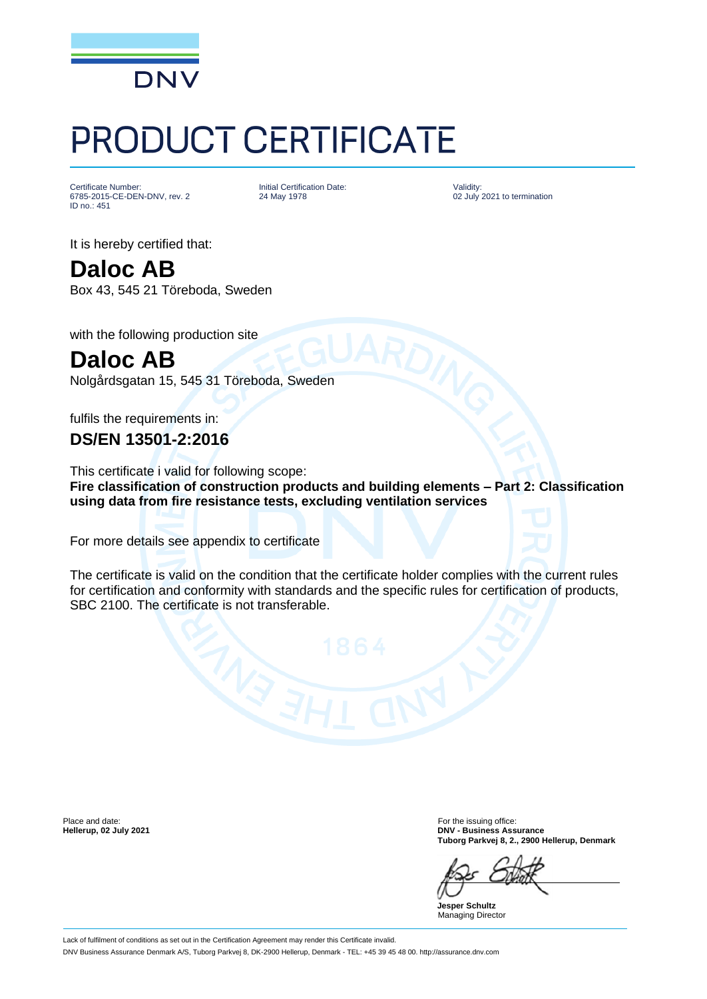

## PRODUCT CERTIFICATE

Certificate Number: 6785-2015-CE-DEN-DNV, rev. 2 ID no.: 451

Initial Certification Date: 24 May 1978

Validity: 02 July 2021 to termination

It is hereby certified that:

**Daloc AB** Box 43, 545 21 Töreboda, Sweden

with the following production site

**Daloc AB** Nolgårdsgatan 15, 545 31 Töreboda, Sweden

fulfils the requirements in:

**DS/EN 13501-2:2016**

This certificate i valid for following scope: **Fire classification of construction products and building elements – Part 2: Classification using data from fire resistance tests, excluding ventilation services**

For more details see appendix to certificate

The certificate is valid on the condition that the certificate holder complies with the current rules for certification and conformity with standards and the specific rules for certification of products, SBC 2100. The certificate is not transferable.

Place and date: For the issuing office: For the issuing office:

**Hellerup, 02 July 2021 DNV - Business Assurance Tuborg Parkvej 8, 2., 2900 Hellerup, Denmark**

**Jesper Schultz** Managing Director

Lack of fulfilment of conditions as set out in the Certification Agreement may render this Certificate invalid. DNV Business Assurance Denmark A/S, Tuborg Parkvej 8, DK-2900 Hellerup, Denmark - TEL: +45 39 45 48 00. http://assurance.dnv.com